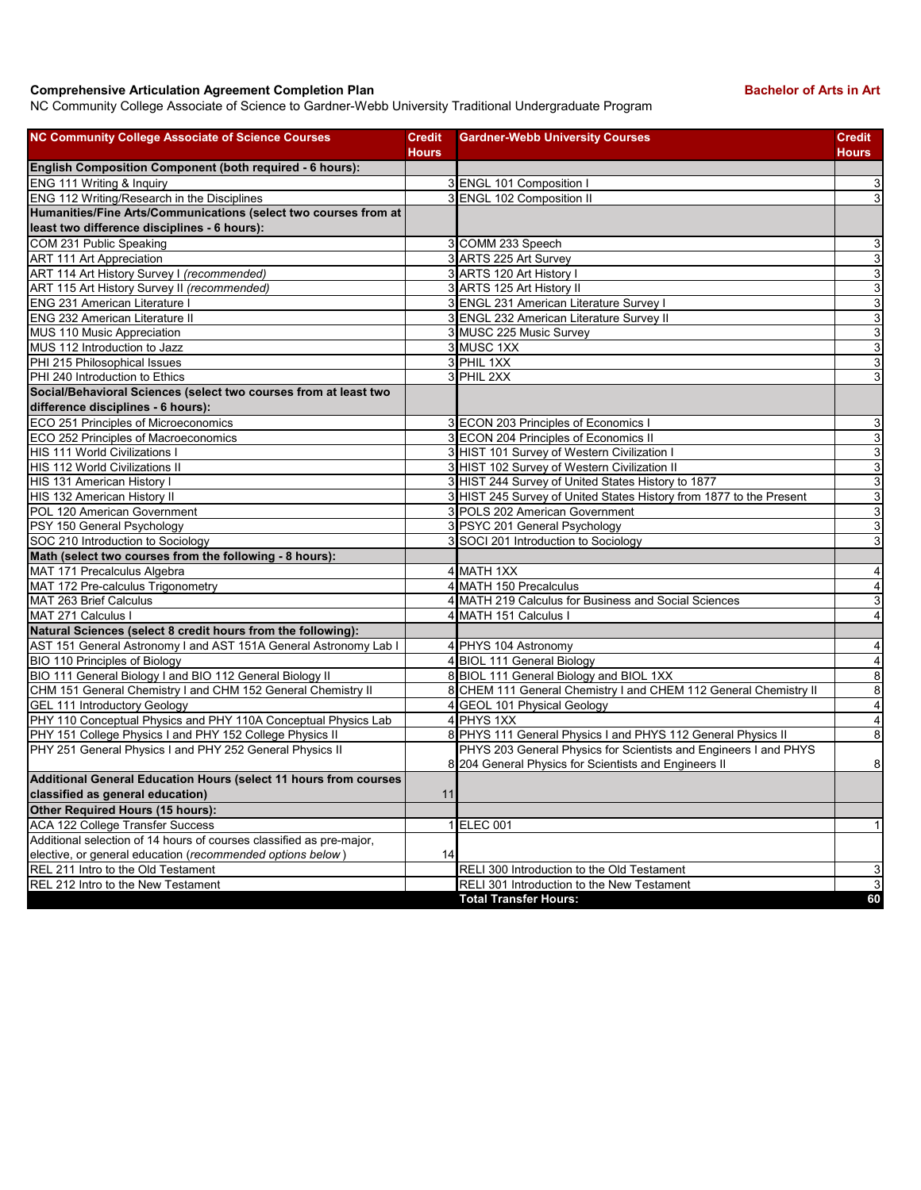## **Comprehensive Articulation Agreement Completion Plan Bachelor of Arts in Art Bachelor of Arts in Art**

NC Community College Associate of Science to Gardner-Webb University Traditional Undergraduate Program

| <b>NC Community College Associate of Science Courses</b>             | <b>Credit</b><br><b>Hours</b> | <b>Gardner-Webb University Courses</b>                              | <b>Credit</b><br><b>Hours</b> |
|----------------------------------------------------------------------|-------------------------------|---------------------------------------------------------------------|-------------------------------|
| English Composition Component (both required - 6 hours):             |                               |                                                                     |                               |
| ENG 111 Writing & Inquiry                                            |                               | 3 ENGL 101 Composition I                                            | 3                             |
| ENG 112 Writing/Research in the Disciplines                          |                               | 3 ENGL 102 Composition II                                           | $\mathbf{3}$                  |
| Humanities/Fine Arts/Communications (select two courses from at      |                               |                                                                     |                               |
| least two difference disciplines - 6 hours):                         |                               |                                                                     |                               |
| COM 231 Public Speaking                                              |                               | 3 COMM 233 Speech                                                   | 3                             |
| <b>ART 111 Art Appreciation</b>                                      |                               | 3 ARTS 225 Art Survey                                               | $\mathbf{3}$                  |
| ART 114 Art History Survey I (recommended)                           |                               | 3 ARTS 120 Art History I                                            | 3                             |
| ART 115 Art History Survey II (recommended)                          |                               | 3 ARTS 125 Art History II                                           | 3                             |
| <b>ENG 231 American Literature I</b>                                 |                               | 3 ENGL 231 American Literature Survey I                             | 3                             |
| <b>ENG 232 American Literature II</b>                                |                               | 3 ENGL 232 American Literature Survey II                            | 3                             |
| MUS 110 Music Appreciation                                           |                               | 3 MUSC 225 Music Survey                                             | $\mathbf{3}$                  |
| MUS 112 Introduction to Jazz                                         |                               | 3 MUSC 1XX                                                          | $\mathbf{3}$                  |
| PHI 215 Philosophical Issues                                         |                               | 3 PHIL 1XX                                                          | 3                             |
| PHI 240 Introduction to Ethics                                       |                               | 3 PHIL 2XX                                                          | 3                             |
| Social/Behavioral Sciences (select two courses from at least two     |                               |                                                                     |                               |
| difference disciplines - 6 hours):                                   |                               |                                                                     |                               |
| ECO 251 Principles of Microeconomics                                 |                               | 3 ECON 203 Principles of Economics I                                | 3                             |
| ECO 252 Principles of Macroeconomics                                 |                               | 3 ECON 204 Principles of Economics II                               | $\mathbf{3}$                  |
| <b>HIS 111 World Civilizations I</b>                                 |                               | 3 HIST 101 Survey of Western Civilization I                         | 3                             |
| HIS 112 World Civilizations II                                       |                               | 3 HIST 102 Survey of Western Civilization II                        | 3                             |
| HIS 131 American History I                                           |                               | 3 HIST 244 Survey of United States History to 1877                  | $\mathbf{3}$                  |
| HIS 132 American History II                                          |                               | 3 HIST 245 Survey of United States History from 1877 to the Present | 3                             |
| POL 120 American Government                                          |                               | 3 POLS 202 American Government                                      | 3                             |
| PSY 150 General Psychology                                           |                               | 3 PSYC 201 General Psychology                                       | $\mathbf{3}$                  |
| SOC 210 Introduction to Sociology                                    |                               | 3 SOCI 201 Introduction to Sociology                                | 3                             |
| Math (select two courses from the following - 8 hours):              |                               |                                                                     |                               |
| MAT 171 Precalculus Algebra                                          |                               | 4 MATH 1XX                                                          | $\overline{4}$                |
| MAT 172 Pre-calculus Trigonometry                                    |                               | 4 MATH 150 Precalculus                                              | $\overline{4}$                |
| MAT 263 Brief Calculus                                               |                               | 4 MATH 219 Calculus for Business and Social Sciences                | 3                             |
| MAT 271 Calculus I                                                   |                               | 4 MATH 151 Calculus I                                               | $\overline{4}$                |
| Natural Sciences (select 8 credit hours from the following):         |                               |                                                                     |                               |
| AST 151 General Astronomy I and AST 151A General Astronomy Lab I     |                               | 4 PHYS 104 Astronomy                                                | $\overline{4}$                |
| BIO 110 Principles of Biology                                        |                               | 4 BIOL 111 General Biology                                          | $\overline{4}$                |
| BIO 111 General Biology I and BIO 112 General Biology II             |                               | 8 BIOL 111 General Biology and BIOL 1XX                             | 8                             |
| CHM 151 General Chemistry I and CHM 152 General Chemistry II         |                               | 8 CHEM 111 General Chemistry I and CHEM 112 General Chemistry II    | 8                             |
| GEL 111 Introductory Geology                                         |                               | 4 GEOL 101 Physical Geology                                         | $\overline{4}$                |
| PHY 110 Conceptual Physics and PHY 110A Conceptual Physics Lab       |                               | 4 PHYS 1XX                                                          | $\overline{4}$                |
| PHY 151 College Physics I and PHY 152 College Physics II             |                               | 8 PHYS 111 General Physics I and PHYS 112 General Physics II        | 8                             |
| PHY 251 General Physics I and PHY 252 General Physics II             |                               | PHYS 203 General Physics for Scientists and Engineers I and PHYS    |                               |
|                                                                      |                               | 8 204 General Physics for Scientists and Engineers II               | 8                             |
| Additional General Education Hours (select 11 hours from courses     |                               |                                                                     |                               |
| classified as general education)                                     | 11                            |                                                                     |                               |
| <b>Other Required Hours (15 hours):</b>                              |                               |                                                                     |                               |
| ACA 122 College Transfer Success                                     |                               | 1 ELEC 001                                                          | $\mathbf{1}$                  |
| Additional selection of 14 hours of courses classified as pre-major, |                               |                                                                     |                               |
| elective, or general education (recommended options below)           | 14                            |                                                                     |                               |
| REL 211 Intro to the Old Testament                                   |                               | RELI 300 Introduction to the Old Testament                          | $\overline{3}$                |
| REL 212 Intro to the New Testament                                   |                               | RELI 301 Introduction to the New Testament                          | $\overline{3}$                |
|                                                                      |                               | <b>Total Transfer Hours:</b>                                        | 60                            |